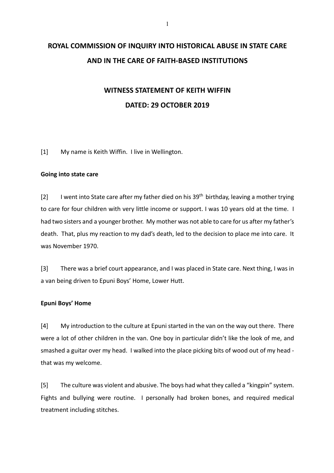# **ROYAL COMMISSION OF INQUIRY INTO HISTORICAL ABUSE IN STATE CARE AND IN THE CARE OF FAITH-BASED INSTITUTIONS**

# **WITNESS STATEMENT OF KEITH WIFFIN DATED: 29 OCTOBER 2019**

[1] My name is Keith Wiffin. I live in Wellington.

### **Going into state care**

[2] I went into State care after my father died on his  $39<sup>th</sup>$  birthday, leaving a mother trying to care for four children with very little income or support. I was 10 years old at the time. I had two sisters and a younger brother. My mother was not able to care for us after my father's death. That, plus my reaction to my dad's death, led to the decision to place me into care. It was November 1970.

[3] There was a brief court appearance, and I was placed in State care. Next thing, I was in a van being driven to Epuni Boys' Home, Lower Hutt.

### **Epuni Boys' Home**

[4] My introduction to the culture at Epuni started in the van on the way out there. There were a lot of other children in the van. One boy in particular didn't like the look of me, and smashed a guitar over my head. I walked into the place picking bits of wood out of my head that was my welcome.

[5] The culture was violent and abusive. The boys had what they called a "kingpin" system. Fights and bullying were routine. I personally had broken bones, and required medical treatment including stitches.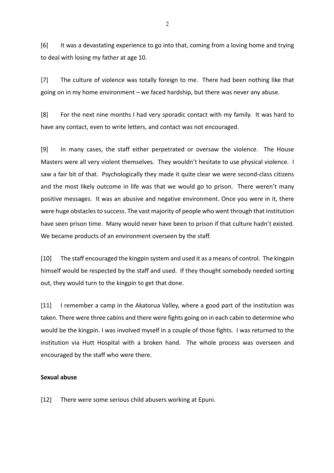[6] It was a devastating experience to go into that, coming from a loving home and trying to deal with losing my father at age 10.

[7] The culture of violence was totally foreign to me. There had been nothing like that going on in my home environment – we faced hardship, but there was never any abuse.

[8] For the next nine months I had very sporadic contact with my family. It was hard to have any contact, even to write letters, and contact was not encouraged.

[9] In many cases, the staff either perpetrated or oversaw the violence. The House Masters were all very violent themselves. They wouldn't hesitate to use physical violence. I saw a fair bit of that. Psychologically they made it quite clear we were second-class citizens and the most likely outcome in life was that we would go to prison. There weren't many positive messages. It was an abusive and negative environment. Once you were in it, there were huge obstacles to success. The vast majority of people who went through that institution have seen prison time. Many would never have been to prison if that culture hadn't existed. We became products of an environment overseen by the staff.

[10] The staff encouraged the kingpin system and used it as a means of control. The kingpin himself would be respected by the staff and used. If they thought somebody needed sorting out, they would turn to the kingpin to get that done.

[11] I remember a camp in the Akatorua Valley, where a good part of the institution was taken. There were three cabins and there were fights going on in each cabin to determine who would be the kingpin. I was involved myself in a couple of those fights. I was returned to the institution via Hutt Hospital with a broken hand. The whole process was overseen and encouraged by the staff who were there.

#### **Sexual abuse**

[12] There were some serious child abusers working at Epuni.

2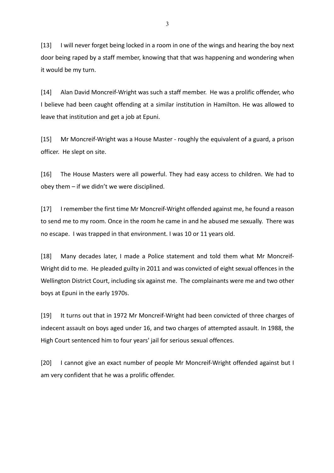[13] I will never forget being locked in a room in one of the wings and hearing the boy next door being raped by a staff member, knowing that that was happening and wondering when it would be my turn.

[14] Alan David Moncreif-Wright was such a staff member. He was a prolific offender, who I believe had been caught offending at a similar institution in Hamilton. He was allowed to leave that institution and get a job at Epuni.

[15] Mr Moncreif-Wright was a House Master - roughly the equivalent of a guard, a prison officer. He slept on site.

[16] The House Masters were all powerful. They had easy access to children. We had to obey them – if we didn't we were disciplined.

[17] I remember the first time Mr Moncreif-Wright offended against me, he found a reason to send me to my room. Once in the room he came in and he abused me sexually. There was no escape. I was trapped in that environment. I was 10 or 11 years old.

[18] Many decades later, I made a Police statement and told them what Mr Moncreif-Wright did to me. He pleaded guilty in 2011 and was convicted of eight sexual offences in the Wellington District Court, including six against me. The complainants were me and two other boys at Epuni in the early 1970s.

[19] It turns out that in 1972 Mr Moncreif-Wright had been convicted of three charges of indecent assault on boys aged under 16, and two charges of attempted assault. In 1988, the High Court sentenced him to four years' jail for serious sexual offences.

[20] I cannot give an exact number of people Mr Moncreif-Wright offended against but I am very confident that he was a prolific offender.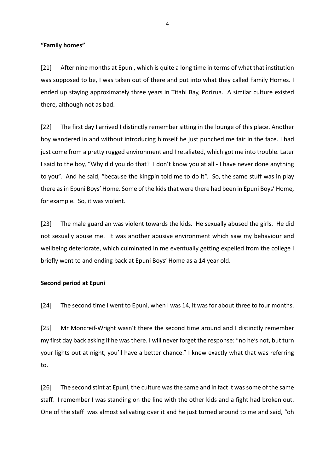**"Family homes"**

[21] After nine months at Epuni, which is quite a long time in terms of what that institution was supposed to be, I was taken out of there and put into what they called Family Homes. I ended up staying approximately three years in Titahi Bay, Porirua. A similar culture existed there, although not as bad.

[22] The first day I arrived I distinctly remember sitting in the lounge of this place. Another boy wandered in and without introducing himself he just punched me fair in the face. I had just come from a pretty rugged environment and I retaliated, which got me into trouble. Later I said to the boy, "Why did you do that? I don't know you at all - I have never done anything to you". And he said, "because the kingpin told me to do it". So, the same stuff was in play there asin Epuni Boys' Home. Some of the kids that were there had been in Epuni Boys' Home, for example. So, it was violent.

[23] The male guardian was violent towards the kids. He sexually abused the girls. He did not sexually abuse me. It was another abusive environment which saw my behaviour and wellbeing deteriorate, which culminated in me eventually getting expelled from the college I briefly went to and ending back at Epuni Boys' Home as a 14 year old.

#### **Second period at Epuni**

[24] The second time I went to Epuni, when I was 14, it was for about three to four months.

[25] Mr Moncreif-Wright wasn't there the second time around and I distinctly remember my first day back asking if he was there. I will never forget the response: "no he's not, but turn your lights out at night, you'll have a better chance." I knew exactly what that was referring to.

[26] The second stint at Epuni, the culture was the same and in fact it was some of the same staff. I remember I was standing on the line with the other kids and a fight had broken out. One of the staff was almost salivating over it and he just turned around to me and said, "oh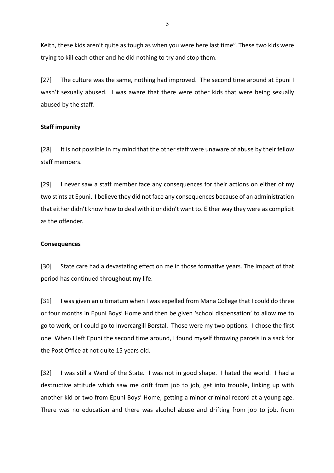Keith, these kids aren't quite as tough as when you were here last time". These two kids were trying to kill each other and he did nothing to try and stop them.

[27] The culture was the same, nothing had improved. The second time around at Epuni I wasn't sexually abused. I was aware that there were other kids that were being sexually abused by the staff.

### **Staff impunity**

[28] It is not possible in my mind that the other staff were unaware of abuse by their fellow staff members.

[29] I never saw a staff member face any consequences for their actions on either of my two stints at Epuni. I believe they did not face any consequences because of an administration that either didn't know how to deal with it or didn't want to. Either way they were as complicit as the offender.

#### **Consequences**

[30] State care had a devastating effect on me in those formative years. The impact of that period has continued throughout my life.

[31] I was given an ultimatum when I was expelled from Mana College that I could do three or four months in Epuni Boys' Home and then be given 'school dispensation' to allow me to go to work, or I could go to Invercargill Borstal. Those were my two options. I chose the first one. When I left Epuni the second time around, I found myself throwing parcels in a sack for the Post Office at not quite 15 years old.

[32] I was still a Ward of the State. I was not in good shape. I hated the world. I had a destructive attitude which saw me drift from job to job, get into trouble, linking up with another kid or two from Epuni Boys' Home, getting a minor criminal record at a young age. There was no education and there was alcohol abuse and drifting from job to job, from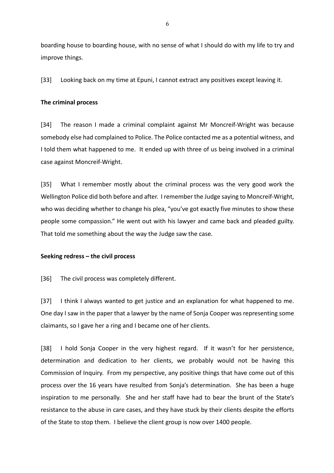boarding house to boarding house, with no sense of what I should do with my life to try and improve things.

[33] Looking back on my time at Epuni, I cannot extract any positives except leaving it.

#### **The criminal process**

[34] The reason I made a criminal complaint against Mr Moncreif-Wright was because somebody else had complained to Police. The Police contacted me as a potential witness, and I told them what happened to me. It ended up with three of us being involved in a criminal case against Moncreif-Wright.

[35] What I remember mostly about the criminal process was the very good work the Wellington Police did both before and after. I remember the Judge saying to Moncreif-Wright, who was deciding whether to change his plea, "you've got exactly five minutes to show these people some compassion." He went out with his lawyer and came back and pleaded guilty. That told me something about the way the Judge saw the case.

### **Seeking redress – the civil process**

[36] The civil process was completely different.

[37] I think I always wanted to get justice and an explanation for what happened to me. One day I saw in the paper that a lawyer by the name of Sonja Cooper was representing some claimants, so I gave her a ring and I became one of her clients.

[38] I hold Sonja Cooper in the very highest regard. If it wasn't for her persistence, determination and dedication to her clients, we probably would not be having this Commission of Inquiry. From my perspective, any positive things that have come out of this process over the 16 years have resulted from Sonja's determination. She has been a huge inspiration to me personally. She and her staff have had to bear the brunt of the State's resistance to the abuse in care cases, and they have stuck by their clients despite the efforts of the State to stop them. I believe the client group is now over 1400 people.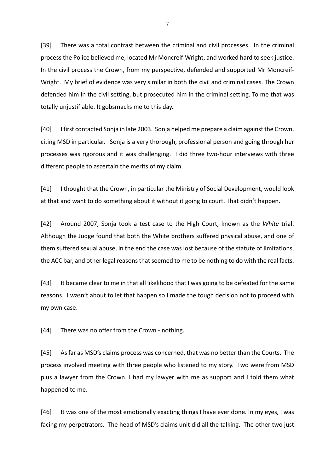[39] There was a total contrast between the criminal and civil processes. In the criminal process the Police believed me, located Mr Moncreif-Wright, and worked hard to seek justice. In the civil process the Crown, from my perspective, defended and supported Mr Moncreif-Wright. My brief of evidence was very similar in both the civil and criminal cases. The Crown defended him in the civil setting, but prosecuted him in the criminal setting. To me that was totally unjustifiable. It gobsmacks me to this day.

[40] I first contacted Sonja in late 2003. Sonja helped me prepare a claim against the Crown, citing MSD in particular. Sonja is a very thorough, professional person and going through her processes was rigorous and it was challenging. I did three two-hour interviews with three different people to ascertain the merits of my claim.

[41] I thought that the Crown, in particular the Ministry of Social Development, would look at that and want to do something about it without it going to court. That didn't happen.

[42] Around 2007, Sonja took a test case to the High Court, known as the *White* trial. Although the Judge found that both the White brothers suffered physical abuse, and one of them suffered sexual abuse, in the end the case was lost because of the statute of limitations, the ACC bar, and other legal reasons that seemed to me to be nothing to do with the real facts.

[43] It became clear to me in that all likelihood that I was going to be defeated for the same reasons. I wasn't about to let that happen so I made the tough decision not to proceed with my own case.

[44] There was no offer from the Crown - nothing.

[45] As far as MSD's claims process was concerned, that was no better than the Courts. The process involved meeting with three people who listened to my story. Two were from MSD plus a lawyer from the Crown. I had my lawyer with me as support and I told them what happened to me.

[46] It was one of the most emotionally exacting things I have ever done. In my eyes, I was facing my perpetrators. The head of MSD's claims unit did all the talking. The other two just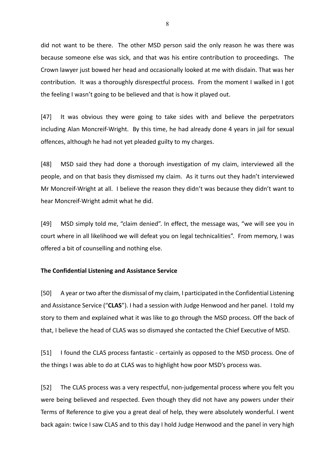did not want to be there. The other MSD person said the only reason he was there was because someone else was sick, and that was his entire contribution to proceedings. The Crown lawyer just bowed her head and occasionally looked at me with disdain. That was her contribution. It was a thoroughly disrespectful process. From the moment I walked in I got the feeling I wasn't going to be believed and that is how it played out.

[47] It was obvious they were going to take sides with and believe the perpetrators including Alan Moncreif-Wright. By this time, he had already done 4 years in jail for sexual offences, although he had not yet pleaded guilty to my charges.

[48] MSD said they had done a thorough investigation of my claim, interviewed all the people, and on that basis they dismissed my claim. As it turns out they hadn't interviewed Mr Moncreif-Wright at all. I believe the reason they didn't was because they didn't want to hear Moncreif-Wright admit what he did.

[49] MSD simply told me, "claim denied". In effect, the message was, "we will see you in court where in all likelihood we will defeat you on legal technicalities". From memory, I was offered a bit of counselling and nothing else.

#### **The Confidential Listening and Assistance Service**

[50] A year or two after the dismissal of my claim, I participated in the Confidential Listening and Assistance Service ("**CLAS**"). I had a session with Judge Henwood and her panel. I told my story to them and explained what it was like to go through the MSD process. Off the back of that, I believe the head of CLAS was so dismayed she contacted the Chief Executive of MSD.

[51] I found the CLAS process fantastic - certainly as opposed to the MSD process. One of the things I was able to do at CLAS was to highlight how poor MSD's process was.

[52] The CLAS process was a very respectful, non-judgemental process where you felt you were being believed and respected. Even though they did not have any powers under their Terms of Reference to give you a great deal of help, they were absolutely wonderful. I went back again: twice I saw CLAS and to this day I hold Judge Henwood and the panel in very high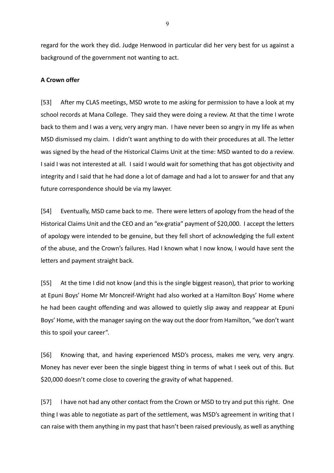regard for the work they did. Judge Henwood in particular did her very best for us against a background of the government not wanting to act.

### **A Crown offer**

[53] After my CLAS meetings, MSD wrote to me asking for permission to have a look at my school records at Mana College. They said they were doing a review. At that the time I wrote back to them and I was a very, very angry man. I have never been so angry in my life as when MSD dismissed my claim. I didn't want anything to do with their procedures at all. The letter was signed by the head of the Historical Claims Unit at the time: MSD wanted to do a review. I said I was not interested at all. I said I would wait for something that has got objectivity and integrity and I said that he had done a lot of damage and had a lot to answer for and that any future correspondence should be via my lawyer.

[54] Eventually, MSD came back to me. There were letters of apology from the head of the Historical Claims Unit and the CEO and an "ex-gratia" payment of \$20,000. I accept the letters of apology were intended to be genuine, but they fell short of acknowledging the full extent of the abuse, and the Crown's failures. Had I known what I now know, I would have sent the letters and payment straight back.

[55] At the time I did not know (and this is the single biggest reason), that prior to working at Epuni Boys' Home Mr Moncreif-Wright had also worked at a Hamilton Boys' Home where he had been caught offending and was allowed to quietly slip away and reappear at Epuni Boys' Home, with the manager saying on the way out the door from Hamilton, "we don't want this to spoil your career".

[56] Knowing that, and having experienced MSD's process, makes me very, very angry. Money has never ever been the single biggest thing in terms of what I seek out of this. But \$20,000 doesn't come close to covering the gravity of what happened.

[57] I have not had any other contact from the Crown or MSD to try and put this right. One thing I was able to negotiate as part of the settlement, was MSD's agreement in writing that I can raise with them anything in my past that hasn't been raised previously, as well as anything

9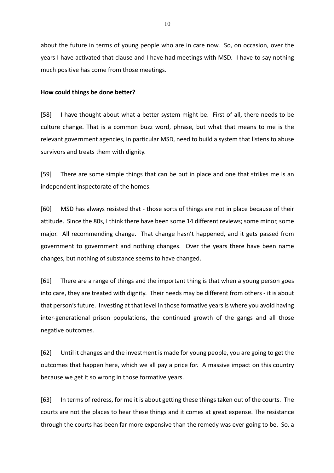about the future in terms of young people who are in care now. So, on occasion, over the years I have activated that clause and I have had meetings with MSD. I have to say nothing much positive has come from those meetings.

## **How could things be done better?**

[58] I have thought about what a better system might be. First of all, there needs to be culture change. That is a common buzz word, phrase, but what that means to me is the relevant government agencies, in particular MSD, need to build a system that listens to abuse survivors and treats them with dignity.

[59] There are some simple things that can be put in place and one that strikes me is an independent inspectorate of the homes.

[60] MSD has always resisted that - those sorts of things are not in place because of their attitude. Since the 80s, I think there have been some 14 different reviews; some minor, some major. All recommending change. That change hasn't happened, and it gets passed from government to government and nothing changes. Over the years there have been name changes, but nothing of substance seems to have changed.

[61] There are a range of things and the important thing is that when a young person goes into care, they are treated with dignity. Their needs may be different from others - it is about that person's future. Investing at that level in those formative years is where you avoid having inter-generational prison populations, the continued growth of the gangs and all those negative outcomes.

[62] Until it changes and the investment is made for young people, you are going to get the outcomes that happen here, which we all pay a price for. A massive impact on this country because we get it so wrong in those formative years.

[63] In terms of redress, for me it is about getting these things taken out of the courts. The courts are not the places to hear these things and it comes at great expense. The resistance through the courts has been far more expensive than the remedy was ever going to be. So, a